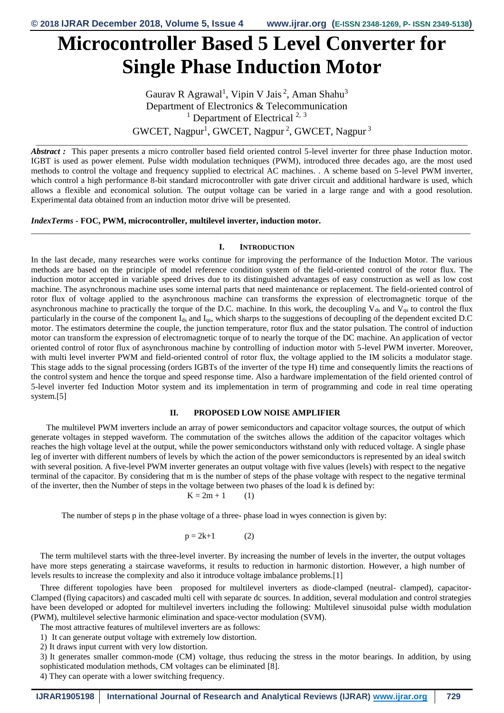# **Microcontroller Based 5 Level Converter for Single Phase Induction Motor**

Gaurav R Agrawal<sup>1</sup>, Vipin V Jais<sup>2</sup>, Aman Shahu<sup>3</sup> Department of Electronics & Telecommunication <sup>1</sup> Department of Electrical<sup>2, 3</sup>  $\text{GWCEPT}$ , Nagpur<sup>1</sup>, GWCET, Nagpur<sup>2</sup>, GWCET, Nagpur<sup>3</sup>

\_\_\_\_\_\_\_\_\_\_\_\_\_\_\_\_\_\_\_\_\_\_\_\_\_\_\_\_\_\_\_\_\_\_\_\_\_\_\_\_\_\_\_\_\_\_\_\_\_\_\_\_\_\_\_\_\_\_\_\_\_\_\_\_\_\_\_\_\_\_\_\_\_\_\_\_\_\_\_\_\_\_\_\_\_\_\_\_\_\_\_\_\_\_\_\_\_\_\_\_\_\_

*Abstract :* This paper presents a micro controller based field oriented control 5-level inverter for three phase Induction motor. IGBT is used as power element. Pulse width modulation techniques (PWM), introduced three decades ago, are the most used methods to control the voltage and frequency supplied to electrical AC machines. . A scheme based on 5-level PWM inverter, which control a high performance 8-bit standard microcontroller with gate driver circuit and additional hardware is used, which allows a flexible and economical solution. The output voltage can be varied in a large range and with a good resolution. Experimental data obtained from an induction motor drive will be presented.

### *IndexTerms* **- FOC, PWM, microcontroller, multilevel inverter, induction motor.**

#### **I. INTRODUCTION**

*\_\_\_\_\_\_\_\_\_\_\_\_\_\_\_\_\_\_\_\_\_\_\_\_\_\_\_\_\_\_\_\_\_\_\_\_\_\_\_\_\_\_\_\_\_\_\_\_\_\_\_\_\_\_\_\_\_\_\_\_\_\_\_\_\_\_\_\_\_\_\_\_\_\_\_\_\_\_\_\_\_\_\_\_\_\_\_\_\_\_\_\_\_\_\_\_\_\_\_\_\_\_\_\_*

In the last decade, many researches were works continue for improving the performance of the Induction Motor. The various methods are based on the principle of model reference condition system of the field-oriented control of the rotor flux. The induction motor accepted in variable speed drives due to its distinguished advantages of easy construction as well as low cost machine. The asynchronous machine uses some internal parts that need maintenance or replacement. The field-oriented control of rotor flux of voltage applied to the asynchronous machine can transforms the expression of electromagnetic torque of the asynchronous machine to practically the torque of the D.C. machine. In this work, the decoupling  $V_{ds}$  and  $V_{qs}$  to control the flux particularly in the course of the component I<sub>ds</sub> and I<sub>qs</sub>, which sharps to the suggestions of decoupling of the dependent excited D.C motor. The estimators determine the couple, the junction temperature, rotor flux and the stator pulsation. The control of induction motor can transform the expression of electromagnetic torque of to nearly the torque of the DC machine. An application of vector oriented control of rotor flux of asynchronous machine by controlling of induction motor with 5-level PWM inverter. Moreover, with multi level inverter PWM and field-oriented control of rotor flux, the voltage applied to the IM solicits a modulator stage. This stage adds to the signal processing (orders IGBTs of the inverter of the type H) time and consequently limits the reactions of the control system and hence the torque and speed response time. Also a hardware implementation of the field oriented control of 5-level inverter fed Induction Motor system and its implementation in term of programming and code in real time operating system.[5]

#### **II. PROPOSED LOW NOISE AMPLIFIER**

The multilevel PWM inverters include an array of power semiconductors and capacitor voltage sources, the output of which generate voltages in stepped waveform. The commutation of the switches allows the addition of the capacitor voltages which reaches the high voltage level at the output, while the power semiconductors withstand only with reduced voltage. A single phase leg of inverter with different numbers of levels by which the action of the power semiconductors is represented by an ideal switch with several position. A five-level PWM inverter generates an output voltage with five values (levels) with respect to the negative terminal of the capacitor. By considering that m is the number of steps of the phase voltage with respect to the negative terminal of the inverter, then the Number of steps in the voltage between two phases of the load k is defined by:

$$
K = 2m + 1 \qquad (1)
$$

The number of steps p in the phase voltage of a three- phase load in wyes connection is given by:

$$
p = 2k+1 \tag{2}
$$

The term multilevel starts with the three-level inverter. By increasing the number of levels in the inverter, the output voltages have more steps generating a staircase waveforms, it results to reduction in harmonic distortion. However, a high number of levels results to increase the complexity and also it introduce voltage imbalance problems.[1]

Three different topologies have been proposed for multilevel inverters as diode-clamped (neutral- clamped), capacitor-Clamped (flying capacitors) and cascaded multi cell with separate dc sources. In addition, several modulation and control strategies have been developed or adopted for multilevel inverters including the following: Multilevel sinusoidal pulse width modulation (PWM), multilevel selective harmonic elimination and space-vector modulation (SVM).

The most attractive features of multilevel inverters are as follows:

1) It can generate output voltage with extremely low distortion.

2) It draws input current with very low distortion.

3) It generates smaller common-mode (CM) voltage, thus reducing the stress in the motor bearings. In addition, by using sophisticated modulation methods, CM voltages can be eliminated [8].

4) They can operate with a lower switching frequency.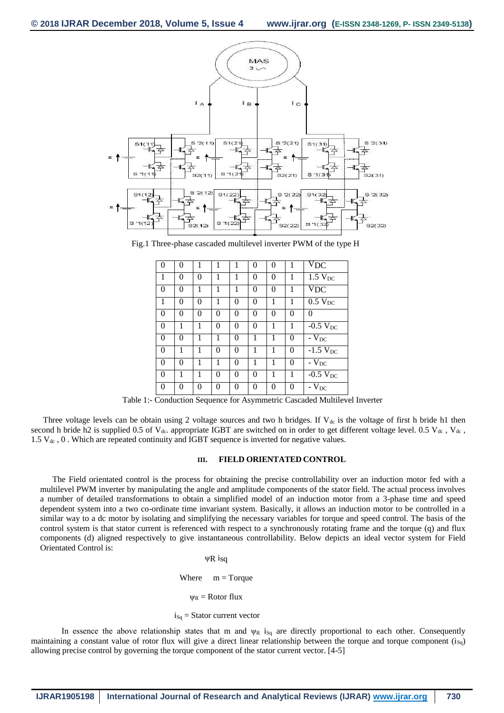

Fig.1 Three-phase cascaded multilevel inverter PWM of the type H

| $\theta$ | $\Omega$ | 1        | 1 | 1        | $\theta$ | $\theta$ |   | $\overline{\text{V}}_{\text{DC}}$ |
|----------|----------|----------|---|----------|----------|----------|---|-----------------------------------|
| 1        | 0        | 0        | 1 | 1        | $\theta$ | 0        | 1 | $1.5$ $V_{DC}$                    |
| $\theta$ | 0        | 1        | 1 | 1        | $\theta$ | 0        | 1 | $\overline{V}_{DC}$               |
| 1        | 0        | 0        | 1 | $\theta$ | $\Omega$ | 1        | 1 | $0.5$ V <sub>DC</sub>             |
| $\theta$ | 0        | $\theta$ | 0 | $\theta$ | $\theta$ | $\theta$ | 0 | $\Omega$                          |
| $\theta$ | 1        | 1        | 0 | $\theta$ | $\Omega$ | 1        |   | $-0.5 V_{DC}$                     |
| $\theta$ | $\Omega$ | 1        | 1 | $\theta$ | 1        | 1        | 0 | - $\rm V_{DC}$                    |
| $\theta$ | 1        | 1        | 0 | $\Omega$ | 1        | 1        | 0 | $-1.5$ V <sub>DC</sub>            |
| $\theta$ | 0        | 1        | 1 | $\theta$ | 1        | 1        | 0 | $-\overline{V}_{DC}$              |
| $\theta$ | 1        | 1        | 0 | $\theta$ | $\Omega$ | 1        |   | $-0.5 V_{DC}$                     |
| $\theta$ | 0        | 0        | 0 | $\theta$ | 0        | 0        | 0 | $-V_{DC}$                         |

Table 1:- Conduction Sequence for Asymmetric Cascaded Multilevel Inverter

Three voltage levels can be obtain using 2 voltage sources and two h bridges. If  $V_{dc}$  is the voltage of first h bride h1 then second h bride h2 is supplied 0.5 of  $V_{dc}$ . appropriate IGBT are switched on in order to get different voltage level. 0.5  $V_{dc}$ ,  $V_{dc}$ , 1.5  $V_{dc}$ , 0. Which are repeated continuity and IGBT sequence is inverted for negative values.

# **III. FIELD ORIENTATED CONTROL**

The Field orientated control is the process for obtaining the precise controllability over an induction motor fed with a multilevel PWM inverter by manipulating the angle and amplitude components of the stator field. The actual process involves a number of detailed transformations to obtain a simplified model of an induction motor from a 3-phase time and speed dependent system into a two co-ordinate time invariant system. Basically, it allows an induction motor to be controlled in a similar way to a dc motor by isolating and simplifying the necessary variables for torque and speed control. The basis of the control system is that stator current is referenced with respect to a synchronously rotating frame and the torque (q) and flux components (d) aligned respectively to give instantaneous controllability. Below depicts an ideal vector system for Field Orientated Control is:

> ψR isq Where  $m = T$ orque  $\Psi_R$  = Rotor flux  $i_{Sq}$  = Stator current vector

In essence the above relationship states that m and  $\psi_R$  is<sub>q</sub> are directly proportional to each other. Consequently maintaining a constant value of rotor flux will give a direct linear relationship between the torque and torque component  $(i<sub>SA</sub>)$ allowing precise control by governing the torque component of the stator current vector. [4-5]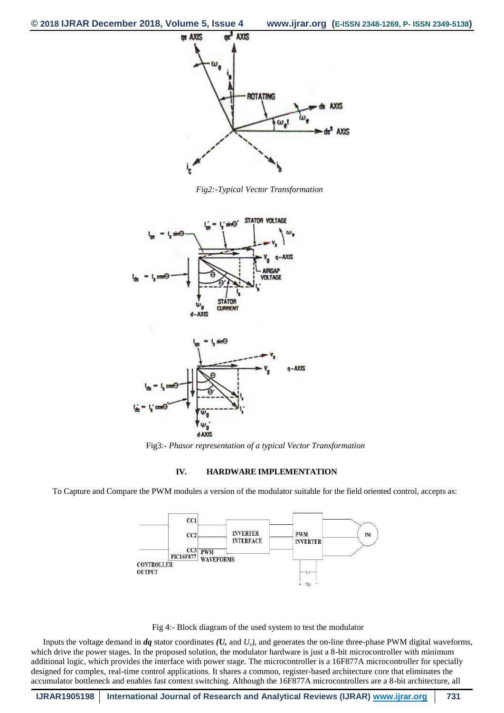

*Fig2:-Typical Vector Transformation*



Fig3:- *Phasor representation of a typical Vector Transformation*

# **IV. HARDWARE IMPLEMENTATION**

To Capture and Compare the PWM modules a version of the modulator suitable for the field oriented control, accepts as:





Inputs the voltage demand in *dq* stator coordinates *(U,* and *U,),* and generates the on-line three-phase PWM digital waveforms, which drive the power stages. In the proposed solution, the modulator hardware is just a 8-bit microcontroller with minimum additional logic, which provides the interface with power stage. The microcontroller is a 16F877A microcontroller for specially designed for complex, real-time control applications. It shares a common, register-based architecture core that eliminates the accumulator bottleneck and enables fast context switching. Although the 16F877A microcontrollers are a 8-bit architecture, all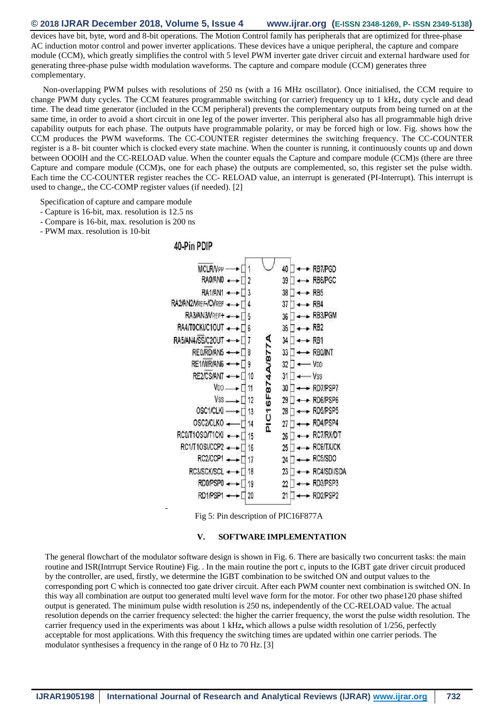### **© 2018 IJRAR December 2018, Volume 5, Issue 4 www.ijrar.org (E-ISSN 2348-1269, P- ISSN 2349-5138)**

devices have bit, byte, word and 8-bit operations. The Motion Control family has peripherals that are optimized for three-phase AC induction motor control and power inverter applications. These devices have a unique peripheral, the capture and compare module (CCM), which greatly simplifies the control with 5 level PWM inverter gate driver circuit and external hardware used for generating three-phase pulse width modulation waveforms. The capture and compare module (CCM) generates three complementary.

Non-overlapping PWM pulses with resolutions of 250 ns (with a 16 MHz oscillator). Once initialised, the CCM require to change PWM duty cycles. The CCM features programmable switching (or carrier) frequency up to 1 kHz**,** duty cycle and dead time. The dead time generator (included in the CCM peripheral) prevents the complementary outputs from being turned on at the same time, in order to avoid a short circuit in one leg of the power inverter. This peripheral also has all programmable high drive capability outputs for each phase. The outputs have programmable polarity, or may be forced high or low. Fig. shows how the CCM produces the PWM waveforms. The CC-COUNTER register determines the switching frequency. The CC-COUNTER register is a 8- bit counter which is clocked every state machine. When the counter is running, it continuously counts up and down between OOOlH and the CC-RELOAD value. When the counter equals the Capture and compare module (CCM)s (there are three Capture and compare module (CCM)s, one for each phase) the outputs are complemented, so, this register set the pulse width. Each time the CC-COUNTER register reaches the CC- RELOAD value, an interrupt is generated (PI-Interrupt). This interrupt is used to change,, the CC-COMP register values (if needed). [2]

Specification of capture and campare module

- Capture is 16-bit, max. resolution is 12.5 ns
- Compare is 16-bit, max. resolution is 200 ns
- PWM max. resolution is 10-bit



Fig 5: Pin description of PIC16F877A

#### **V. SOFTWARE IMPLEMENTATION**

The general flowchart of the modulator software design is shown in Fig. 6. There are basically two concurrent tasks: the main routine and ISR(Intrrupt Service Routine) Fig. . In the main routine the port c, inputs to the IGBT gate driver circuit produced by the controller, are used, firstly, we determine the IGBT combination to be switched ON and output values to the corresponding port C which is connected too gate driver circuit. After each PWM counter next combination is switched ON. In this way all combination are output too generated multi level wave form for the motor. For other two phase120 phase shifted output is generated. The minimum pulse width resolution is 250 ns, independently of the CC-RELOAD value. The actual resolution depends on the carrier frequency selected: the higher the carrier frequency, the worst the pulse width resolution. The carrier frequency used in the experiments was about 1 kHz**,** which allows a pulse width resolution of 1/256, perfectly acceptable for most applications. With this frequency the switching times are updated within one carrier periods. The modulator synthesises a frequency in the range of 0 Hz to 70 Hz. [3]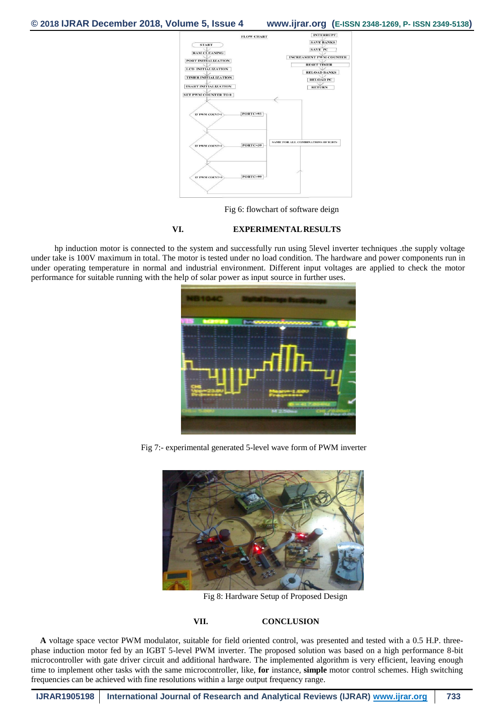# **© 2018 IJRAR December 2018, Volume 5, Issue 4 www.ijrar.org (E-ISSN 2348-1269, P- ISSN 2349-5138)**



Fig 6: flowchart of software deign

# **VI. EXPERIMENTALRESULTS**

hp induction motor is connected to the system and successfully run using 5level inverter techniques .the supply voltage under take is 100V maximum in total. The motor is tested under no load condition. The hardware and power components run in under operating temperature in normal and industrial environment. Different input voltages are applied to check the motor performance for suitable running with the help of solar power as input source in further uses.



Fig 7:- experimental generated 5-level wave form of PWM inverter



Fig 8: Hardware Setup of Proposed Design

#### **VII. CONCLUSION**

**A** voltage space vector PWM modulator, suitable for field oriented control, was presented and tested with a 0.5 H.P. threephase induction motor fed by an IGBT 5-level PWM inverter. The proposed solution was based on a high performance 8-bit microcontroller with gate driver circuit and additional hardware. The implemented algorithm is very efficient, leaving enough time to implement other tasks with the same microcontroller, like, **for** instance, **simple** motor control schemes. High switching frequencies can be achieved with fine resolutions within a large output frequency range.